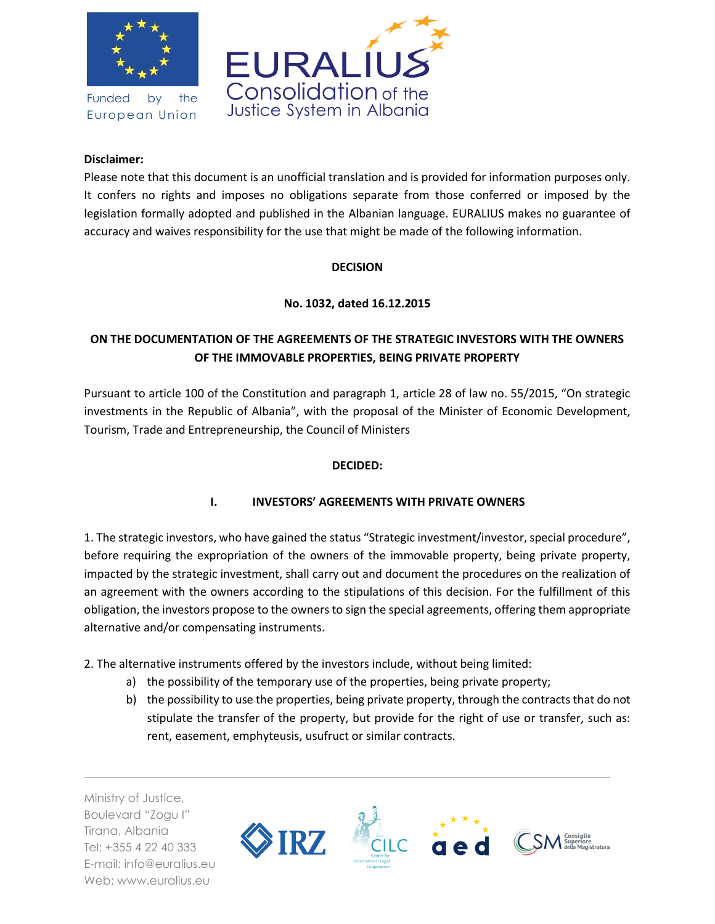

Funded by the European Union



### **Disclaimer:**

Please note that this document is an unofficial translation and is provided for information purposes only. It confers no rights and imposes no obligations separate from those conferred or imposed by the legislation formally adopted and published in the Albanian language. EURALIUS makes no guarantee of accuracy and waives responsibility for the use that might be made of the following information.

#### **DECISION**

**No. 1032, dated 16.12.2015**

# **ON THE DOCUMENTATION OF THE AGREEMENTS OF THE STRATEGIC INVESTORS WITH THE OWNERS OF THE IMMOVABLE PROPERTIES, BEING PRIVATE PROPERTY**

Pursuant to article 100 of the Constitution and paragraph 1, article 28 of law no. 55/2015, "On strategic investments in the Republic of Albania", with the proposal of the Minister of Economic Development, Tourism, Trade and Entrepreneurship, the Council of Ministers

### **DECIDED:**

## **I. INVESTORS' AGREEMENTS WITH PRIVATE OWNERS**

1. The strategic investors, who have gained the status "Strategic investment/investor, special procedure", before requiring the expropriation of the owners of the immovable property, being private property, impacted by the strategic investment, shall carry out and document the procedures on the realization of an agreement with the owners according to the stipulations of this decision. For the fulfillment of this obligation, the investors propose to the owners to sign the special agreements, offering them appropriate alternative and/or compensating instruments.

- 2. The alternative instruments offered by the investors include, without being limited:
	- a) the possibility of the temporary use of the properties, being private property;
	- b) the possibility to use the properties, being private property, through the contracts that do not stipulate the transfer of the property, but provide for the right of use or transfer, such as: rent, easement, emphyteusis, usufruct or similar contracts.

Ministry of Justice, Boulevard "Zogu I" Tirana, Albania Tel: +355 4 22 40 333 E-mail: info@euralius.eu Web: www.euralius.eu

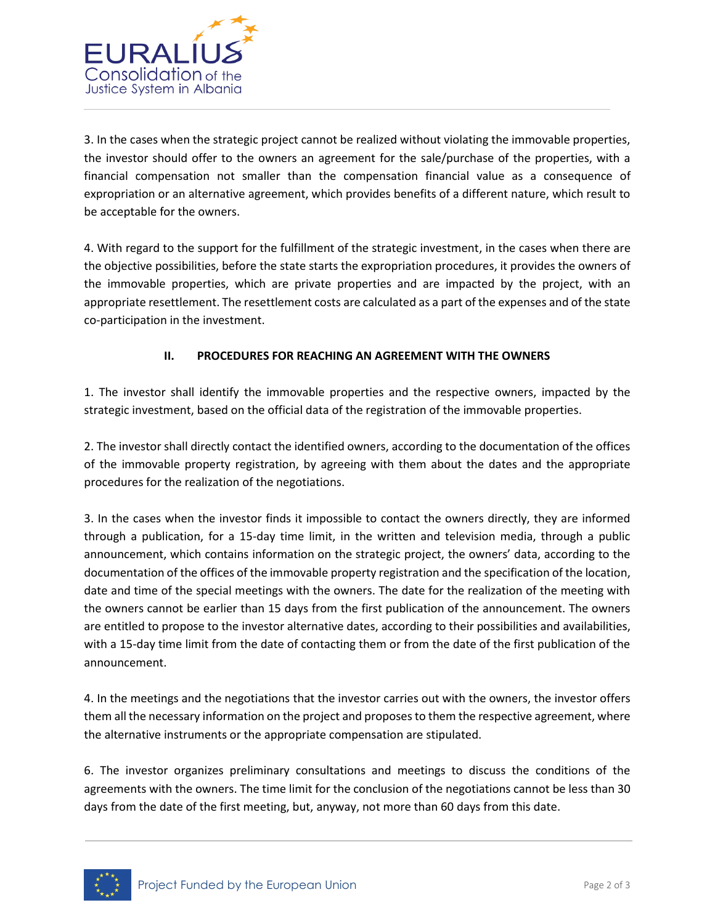

3. In the cases when the strategic project cannot be realized without violating the immovable properties, the investor should offer to the owners an agreement for the sale/purchase of the properties, with a financial compensation not smaller than the compensation financial value as a consequence of expropriation or an alternative agreement, which provides benefits of a different nature, which result to be acceptable for the owners.

4. With regard to the support for the fulfillment of the strategic investment, in the cases when there are the objective possibilities, before the state starts the expropriation procedures, it provides the owners of the immovable properties, which are private properties and are impacted by the project, with an appropriate resettlement. The resettlement costs are calculated as a part of the expenses and of the state co-participation in the investment.

## **II. PROCEDURES FOR REACHING AN AGREEMENT WITH THE OWNERS**

1. The investor shall identify the immovable properties and the respective owners, impacted by the strategic investment, based on the official data of the registration of the immovable properties.

2. The investor shall directly contact the identified owners, according to the documentation of the offices of the immovable property registration, by agreeing with them about the dates and the appropriate procedures for the realization of the negotiations.

3. In the cases when the investor finds it impossible to contact the owners directly, they are informed through a publication, for a 15-day time limit, in the written and television media, through a public announcement, which contains information on the strategic project, the owners' data, according to the documentation of the offices of the immovable property registration and the specification of the location, date and time of the special meetings with the owners. The date for the realization of the meeting with the owners cannot be earlier than 15 days from the first publication of the announcement. The owners are entitled to propose to the investor alternative dates, according to their possibilities and availabilities, with a 15-day time limit from the date of contacting them or from the date of the first publication of the announcement.

4. In the meetings and the negotiations that the investor carries out with the owners, the investor offers them all the necessary information on the project and proposes to them the respective agreement, where the alternative instruments or the appropriate compensation are stipulated.

6. The investor organizes preliminary consultations and meetings to discuss the conditions of the agreements with the owners. The time limit for the conclusion of the negotiations cannot be less than 30 days from the date of the first meeting, but, anyway, not more than 60 days from this date.